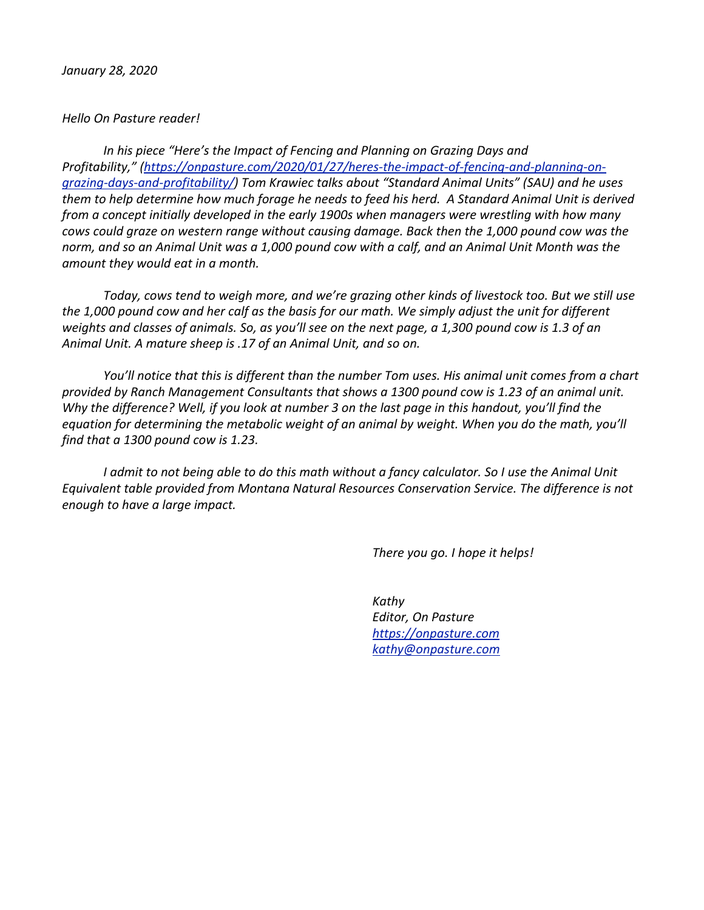## *Hello On Pasture reader!*

In his piece "Here's the Impact of Fencing and Planning on Grazing Days and Profitability," [\(https://onpasture.com/2020/01/27/heres-the-impact-of-fencing-and-planning-on](https://onpasture.com/2020/01/27/heres-the-impact-of-fencing-and-planning-on-grazing-days-and-profitability/)*[grazing-days-and-profitability/\)](https://onpasture.com/2020/01/27/heres-the-impact-of-fencing-and-planning-on-grazing-days-and-profitability/) Tom Krawiec talks about "Standard Animal Units" (SAU) and he uses them* to help determine how much forage he needs to feed his herd. A Standard Animal Unit is derived *from a concept initially developed in the early 1900s when managers were wrestling with how many cows could graze on western range without causing damage. Back then the 1,000 pound cow was the* norm, and so an Animal Unit was a 1,000 pound cow with a calf, and an Animal Unit Month was the *amount they would eat in a month.* 

*Today, cows tend to weigh more, and we're grazing other kinds of livestock too. But we still use the* 1,000 pound cow and her calf as the basis for our math. We simply adjust the unit for different *weights* and classes of animals. So, as you'll see on the next page, a 1,300 pound cow is 1.3 of an Animal Unit. A mature sheep is .17 of an Animal Unit, and so on.

*You'll notice that this is different than the number Tom uses. His animal unit comes from a chart* provided by Ranch Management Consultants that shows a 1300 pound cow is 1.23 of an animal unit. *Why* the difference? Well, if you look at number 3 on the last page in this handout, you'll find the equation for determining the metabolic weight of an animal by weight. When you do the math, you'll *find that a 1300 pound cow is 1.23.* 

*<i>I* admit to not being able to do this math without a fancy calculator. So I use the Animal Unit Equivalent table provided from Montana Natural Resources Conservation Service. The difference is not *enough to have a large impact.* 

*There you go. I hope it helps!* 

 *Kathy Editor, On Pasture <https://onpasture.com> [kathy@onpasture.com](mailto:kathy@onpasture.com)*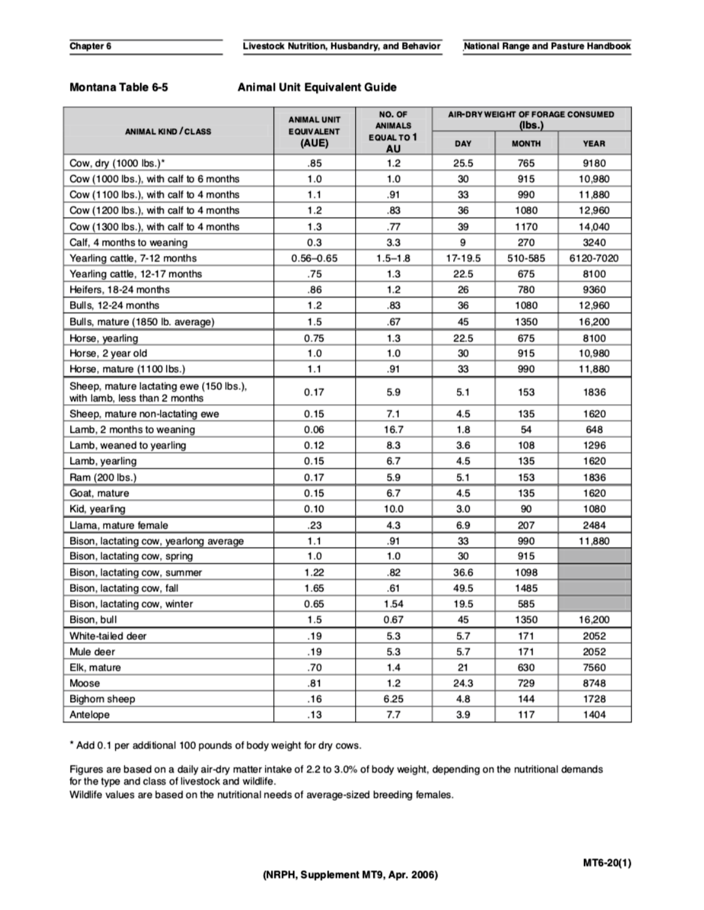## Montana Table 6-5

## **Animal Unit Equivalent Guide**

| <b>ANIMAL KIND / CLASS</b>                                               | <b>ANIMAL UNIT</b><br><b>EQUIVALENT</b><br>(AUE) | NO. OF<br><b>ANIMALS</b><br><b>EQUAL TO 1</b><br>AU | AIR-DRY WEIGHT OF FORAGE CONSUMED<br>(Ibs.) |              |             |
|--------------------------------------------------------------------------|--------------------------------------------------|-----------------------------------------------------|---------------------------------------------|--------------|-------------|
|                                                                          |                                                  |                                                     | DAY                                         | <b>MONTH</b> | <b>YEAR</b> |
| Cow, dry (1000 lbs.)*                                                    | .85                                              | 1.2                                                 | 25.5                                        | 765          | 9180        |
| Cow (1000 lbs.), with calf to 6 months                                   | 1.0                                              | 1.0                                                 | 30                                          | 915          | 10.980      |
| Cow (1100 lbs.), with calf to 4 months                                   | 1.1                                              | .91                                                 | 33                                          | 990          | 11,880      |
| Cow (1200 lbs.), with calf to 4 months                                   | 1.2                                              | .83                                                 | 36                                          | 1080         | 12,960      |
| Cow (1300 lbs.), with calf to 4 months                                   | 1.3                                              | .77                                                 | 39                                          | 1170         | 14,040      |
| Calf, 4 months to weaning                                                | 0.3                                              | 3.3                                                 | 9                                           | 270          | 3240        |
| Yearling cattle, 7-12 months                                             | $0.56 - 0.65$                                    | $1.5 - 1.8$                                         | 17-19.5                                     | 510-585      | 6120-7020   |
| Yearling cattle, 12-17 months                                            | .75                                              | 1.3                                                 | 22.5                                        | 675          | 8100        |
| Heifers, 18-24 months                                                    | .86                                              | 1.2                                                 | 26                                          | 780          | 9360        |
| Bulls, 12-24 months                                                      | 1.2                                              | .83                                                 | 36                                          | 1080         | 12,960      |
| Bulls, mature (1850 lb. average)                                         | 1.5                                              | .67                                                 | 45                                          | 1350         | 16,200      |
| Horse, yearling                                                          | 0.75                                             | 1.3                                                 | 22.5                                        | 675          | 8100        |
| Horse, 2 year old                                                        | 1.0                                              | 1.0                                                 | 30                                          | 915          | 10,980      |
| Horse, mature (1100 lbs.)                                                | 1.1                                              | .91                                                 | 33                                          | 990          | 11,880      |
| Sheep, mature lactating ewe (150 lbs.),<br>with lamb, less than 2 months | 0.17                                             | 5.9                                                 | 5.1                                         | 153          | 1836        |
| Sheep, mature non-lactating ewe                                          | 0.15                                             | 7.1                                                 | 4.5                                         | 135          | 1620        |
| Lamb, 2 months to weaning                                                | 0.06                                             | 16.7                                                | 1.8                                         | 54           | 648         |
| Lamb, weaned to yearling                                                 | 0.12                                             | 8.3                                                 | 3.6                                         | 108          | 1296        |
| Lamb, yearling                                                           | 0.15                                             | 6.7                                                 | 4.5                                         | 135          | 1620        |
| Ram (200 lbs.)                                                           | 0.17                                             | 5.9                                                 | 5.1                                         | 153          | 1836        |
| Goat, mature                                                             | 0.15                                             | 6.7                                                 | 4.5                                         | 135          | 1620        |
| Kid, yearling                                                            | 0.10                                             | 10.0                                                | 3.0                                         | 90           | 1080        |
| Llama, mature female                                                     | .23                                              | 4.3                                                 | 6.9                                         | 207          | 2484        |
| Bison, lactating cow, yearlong average                                   | 1.1                                              | .91                                                 | 33                                          | 990          | 11,880      |
| Bison, lactating cow, spring                                             | 1.0                                              | 1.0                                                 | 30                                          | 915          |             |
| Bison, lactating cow, summer                                             | 1.22                                             | .82                                                 | 36.6                                        | 1098         |             |
| Bison, lactating cow, fall                                               | 1.65                                             | .61                                                 | 49.5                                        | 1485         |             |
| Bison, lactating cow, winter                                             | 0.65                                             | 1.54                                                | 19.5                                        | 585          |             |
| Bison, bull                                                              | 1.5                                              | 0.67                                                | 45                                          | 1350         | 16,200      |
| White-tailed deer                                                        | .19                                              | 5.3                                                 | 5.7                                         | 171          | 2052        |
| Mule deer                                                                | .19                                              | 5.3                                                 | 5.7                                         | 171          | 2052        |
| Elk, mature                                                              | .70                                              | 1.4                                                 | 21                                          | 630          | 7560        |
| Moose                                                                    | .81                                              | 1.2                                                 | 24.3                                        | 729          | 8748        |
| Bighorn sheep                                                            | .16                                              | 6.25                                                | 4.8                                         | 144          | 1728        |
| Antelope                                                                 | .13                                              | 7.7                                                 | 3.9                                         | 117          | 1404        |

\* Add 0.1 per additional 100 pounds of body weight for dry cows.

Figures are based on a daily air-dry matter intake of 2.2 to 3.0% of body weight, depending on the nutritional demands for the type and class of livestock and wildlife.

Wildlife values are based on the nutritional needs of average-sized breeding females.